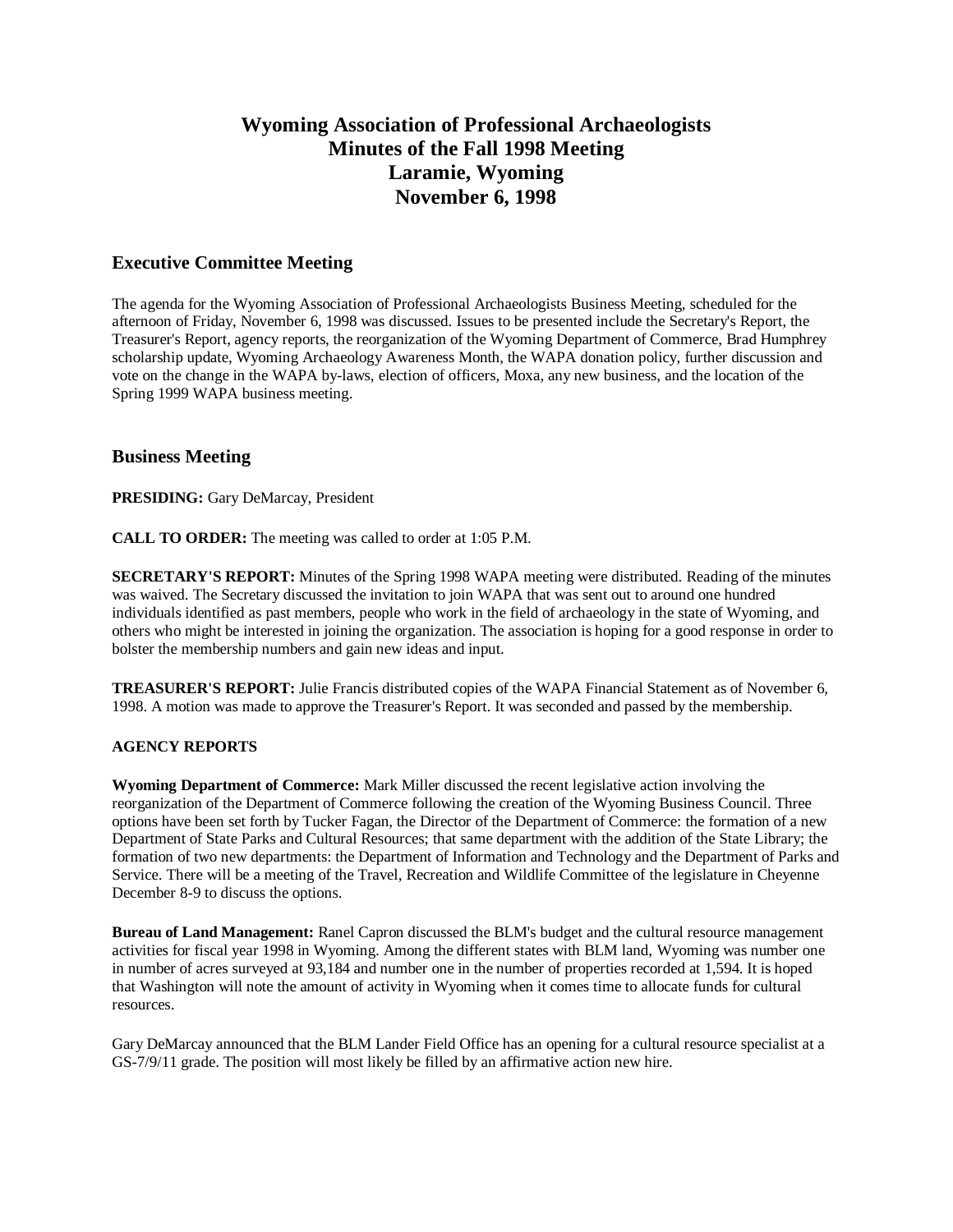# **Wyoming Association of Professional Archaeologists Minutes of the Fall 1998 Meeting Laramie, Wyoming November 6, 1998**

## **Executive Committee Meeting**

The agenda for the Wyoming Association of Professional Archaeologists Business Meeting, scheduled for the afternoon of Friday, November 6, 1998 was discussed. Issues to be presented include the Secretary's Report, the Treasurer's Report, agency reports, the reorganization of the Wyoming Department of Commerce, Brad Humphrey scholarship update, Wyoming Archaeology Awareness Month, the WAPA donation policy, further discussion and vote on the change in the WAPA by-laws, election of officers, Moxa, any new business, and the location of the Spring 1999 WAPA business meeting.

### **Business Meeting**

**PRESIDING:** Gary DeMarcay, President

**CALL TO ORDER:** The meeting was called to order at 1:05 P.M.

**SECRETARY'S REPORT:** Minutes of the Spring 1998 WAPA meeting were distributed. Reading of the minutes was waived. The Secretary discussed the invitation to join WAPA that was sent out to around one hundred individuals identified as past members, people who work in the field of archaeology in the state of Wyoming, and others who might be interested in joining the organization. The association is hoping for a good response in order to bolster the membership numbers and gain new ideas and input.

**TREASURER'S REPORT:** Julie Francis distributed copies of the WAPA Financial Statement as of November 6, 1998. A motion was made to approve the Treasurer's Report. It was seconded and passed by the membership.

### **AGENCY REPORTS**

**Wyoming Department of Commerce:** Mark Miller discussed the recent legislative action involving the reorganization of the Department of Commerce following the creation of the Wyoming Business Council. Three options have been set forth by Tucker Fagan, the Director of the Department of Commerce: the formation of a new Department of State Parks and Cultural Resources; that same department with the addition of the State Library; the formation of two new departments: the Department of Information and Technology and the Department of Parks and Service. There will be a meeting of the Travel, Recreation and Wildlife Committee of the legislature in Cheyenne December 8-9 to discuss the options.

**Bureau of Land Management:** Ranel Capron discussed the BLM's budget and the cultural resource management activities for fiscal year 1998 in Wyoming. Among the different states with BLM land, Wyoming was number one in number of acres surveyed at 93,184 and number one in the number of properties recorded at 1,594. It is hoped that Washington will note the amount of activity in Wyoming when it comes time to allocate funds for cultural resources.

Gary DeMarcay announced that the BLM Lander Field Office has an opening for a cultural resource specialist at a GS-7/9/11 grade. The position will most likely be filled by an affirmative action new hire.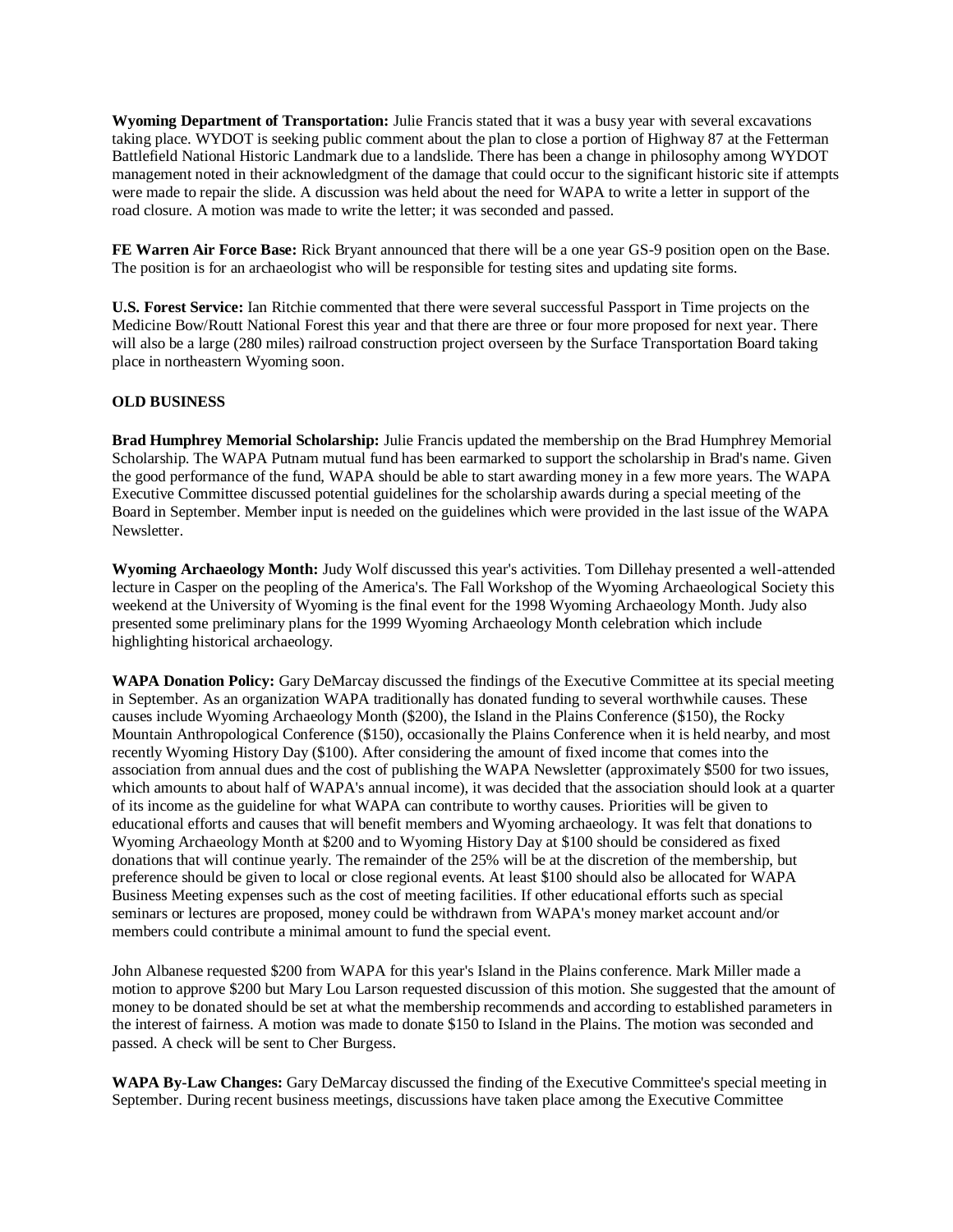**Wyoming Department of Transportation:** Julie Francis stated that it was a busy year with several excavations taking place. WYDOT is seeking public comment about the plan to close a portion of Highway 87 at the Fetterman Battlefield National Historic Landmark due to a landslide. There has been a change in philosophy among WYDOT management noted in their acknowledgment of the damage that could occur to the significant historic site if attempts were made to repair the slide. A discussion was held about the need for WAPA to write a letter in support of the road closure. A motion was made to write the letter; it was seconded and passed.

**FE Warren Air Force Base:** Rick Bryant announced that there will be a one year GS-9 position open on the Base. The position is for an archaeologist who will be responsible for testing sites and updating site forms.

**U.S. Forest Service:** Ian Ritchie commented that there were several successful Passport in Time projects on the Medicine Bow/Routt National Forest this year and that there are three or four more proposed for next year. There will also be a large (280 miles) railroad construction project overseen by the Surface Transportation Board taking place in northeastern Wyoming soon.

### **OLD BUSINESS**

**Brad Humphrey Memorial Scholarship:** Julie Francis updated the membership on the Brad Humphrey Memorial Scholarship. The WAPA Putnam mutual fund has been earmarked to support the scholarship in Brad's name. Given the good performance of the fund, WAPA should be able to start awarding money in a few more years. The WAPA Executive Committee discussed potential guidelines for the scholarship awards during a special meeting of the Board in September. Member input is needed on the guidelines which were provided in the last issue of the WAPA Newsletter.

**Wyoming Archaeology Month:** Judy Wolf discussed this year's activities. Tom Dillehay presented a well-attended lecture in Casper on the peopling of the America's. The Fall Workshop of the Wyoming Archaeological Society this weekend at the University of Wyoming is the final event for the 1998 Wyoming Archaeology Month. Judy also presented some preliminary plans for the 1999 Wyoming Archaeology Month celebration which include highlighting historical archaeology.

**WAPA Donation Policy:** Gary DeMarcay discussed the findings of the Executive Committee at its special meeting in September. As an organization WAPA traditionally has donated funding to several worthwhile causes. These causes include Wyoming Archaeology Month (\$200), the Island in the Plains Conference (\$150), the Rocky Mountain Anthropological Conference (\$150), occasionally the Plains Conference when it is held nearby, and most recently Wyoming History Day (\$100). After considering the amount of fixed income that comes into the association from annual dues and the cost of publishing the WAPA Newsletter (approximately \$500 for two issues, which amounts to about half of WAPA's annual income), it was decided that the association should look at a quarter of its income as the guideline for what WAPA can contribute to worthy causes. Priorities will be given to educational efforts and causes that will benefit members and Wyoming archaeology. It was felt that donations to Wyoming Archaeology Month at \$200 and to Wyoming History Day at \$100 should be considered as fixed donations that will continue yearly. The remainder of the 25% will be at the discretion of the membership, but preference should be given to local or close regional events. At least \$100 should also be allocated for WAPA Business Meeting expenses such as the cost of meeting facilities. If other educational efforts such as special seminars or lectures are proposed, money could be withdrawn from WAPA's money market account and/or members could contribute a minimal amount to fund the special event.

John Albanese requested \$200 from WAPA for this year's Island in the Plains conference. Mark Miller made a motion to approve \$200 but Mary Lou Larson requested discussion of this motion. She suggested that the amount of money to be donated should be set at what the membership recommends and according to established parameters in the interest of fairness. A motion was made to donate \$150 to Island in the Plains. The motion was seconded and passed. A check will be sent to Cher Burgess.

**WAPA By-Law Changes:** Gary DeMarcay discussed the finding of the Executive Committee's special meeting in September. During recent business meetings, discussions have taken place among the Executive Committee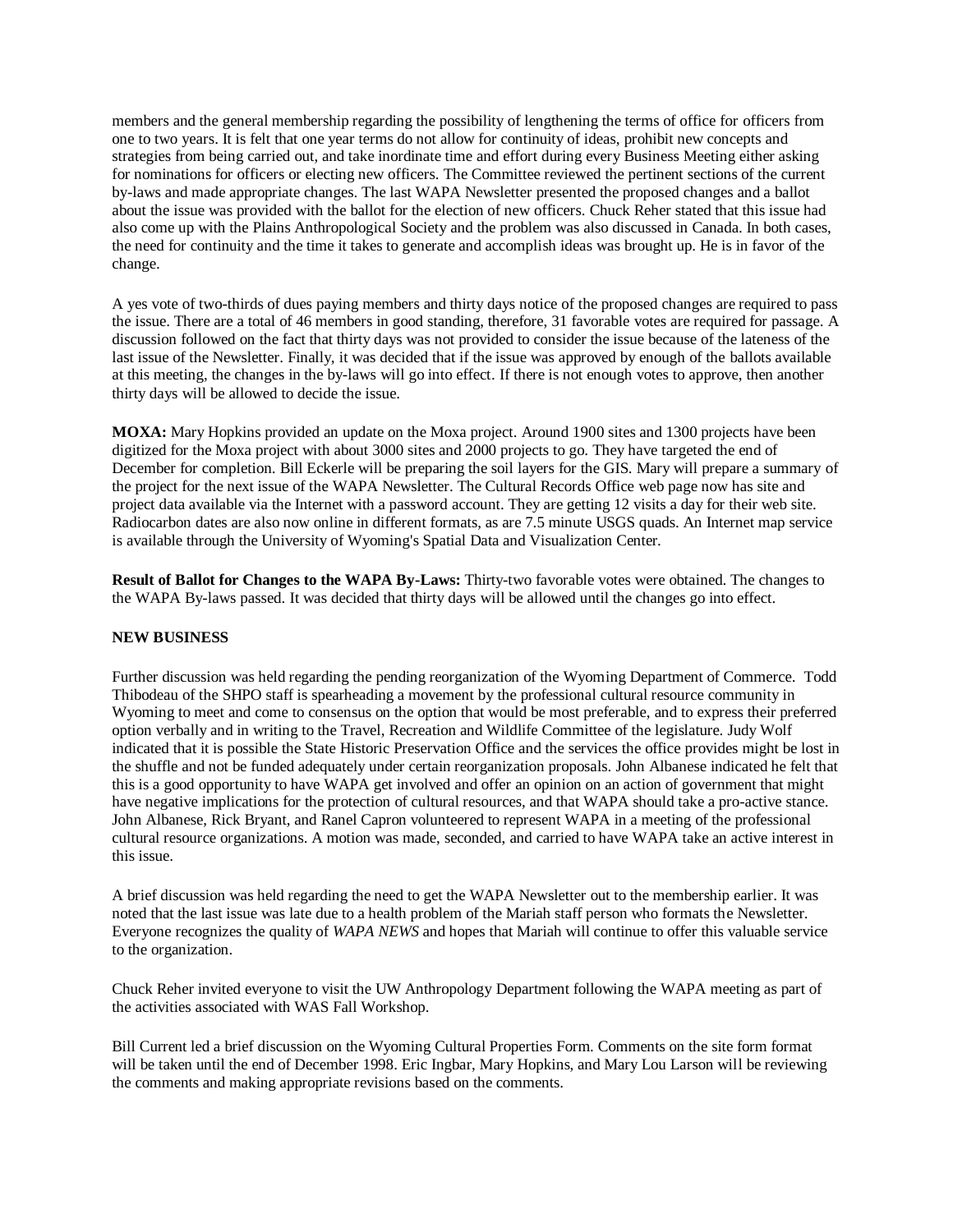members and the general membership regarding the possibility of lengthening the terms of office for officers from one to two years. It is felt that one year terms do not allow for continuity of ideas, prohibit new concepts and strategies from being carried out, and take inordinate time and effort during every Business Meeting either asking for nominations for officers or electing new officers. The Committee reviewed the pertinent sections of the current by-laws and made appropriate changes. The last WAPA Newsletter presented the proposed changes and a ballot about the issue was provided with the ballot for the election of new officers. Chuck Reher stated that this issue had also come up with the Plains Anthropological Society and the problem was also discussed in Canada. In both cases, the need for continuity and the time it takes to generate and accomplish ideas was brought up. He is in favor of the change.

A yes vote of two-thirds of dues paying members and thirty days notice of the proposed changes are required to pass the issue. There are a total of 46 members in good standing, therefore, 31 favorable votes are required for passage. A discussion followed on the fact that thirty days was not provided to consider the issue because of the lateness of the last issue of the Newsletter. Finally, it was decided that if the issue was approved by enough of the ballots available at this meeting, the changes in the by-laws will go into effect. If there is not enough votes to approve, then another thirty days will be allowed to decide the issue.

**MOXA:** Mary Hopkins provided an update on the Moxa project. Around 1900 sites and 1300 projects have been digitized for the Moxa project with about 3000 sites and 2000 projects to go. They have targeted the end of December for completion. Bill Eckerle will be preparing the soil layers for the GIS. Mary will prepare a summary of the project for the next issue of the WAPA Newsletter. The Cultural Records Office web page now has site and project data available via the Internet with a password account. They are getting 12 visits a day for their web site. Radiocarbon dates are also now online in different formats, as are 7.5 minute USGS quads. An Internet map service is available through the University of Wyoming's Spatial Data and Visualization Center.

**Result of Ballot for Changes to the WAPA By-Laws:** Thirty-two favorable votes were obtained. The changes to the WAPA By-laws passed. It was decided that thirty days will be allowed until the changes go into effect.

### **NEW BUSINESS**

Further discussion was held regarding the pending reorganization of the Wyoming Department of Commerce. Todd Thibodeau of the SHPO staff is spearheading a movement by the professional cultural resource community in Wyoming to meet and come to consensus on the option that would be most preferable, and to express their preferred option verbally and in writing to the Travel, Recreation and Wildlife Committee of the legislature. Judy Wolf indicated that it is possible the State Historic Preservation Office and the services the office provides might be lost in the shuffle and not be funded adequately under certain reorganization proposals. John Albanese indicated he felt that this is a good opportunity to have WAPA get involved and offer an opinion on an action of government that might have negative implications for the protection of cultural resources, and that WAPA should take a pro-active stance. John Albanese, Rick Bryant, and Ranel Capron volunteered to represent WAPA in a meeting of the professional cultural resource organizations. A motion was made, seconded, and carried to have WAPA take an active interest in this issue.

A brief discussion was held regarding the need to get the WAPA Newsletter out to the membership earlier. It was noted that the last issue was late due to a health problem of the Mariah staff person who formats the Newsletter. Everyone recognizes the quality of *WAPA NEWS* and hopes that Mariah will continue to offer this valuable service to the organization.

Chuck Reher invited everyone to visit the UW Anthropology Department following the WAPA meeting as part of the activities associated with WAS Fall Workshop.

Bill Current led a brief discussion on the Wyoming Cultural Properties Form. Comments on the site form format will be taken until the end of December 1998. Eric Ingbar, Mary Hopkins, and Mary Lou Larson will be reviewing the comments and making appropriate revisions based on the comments.